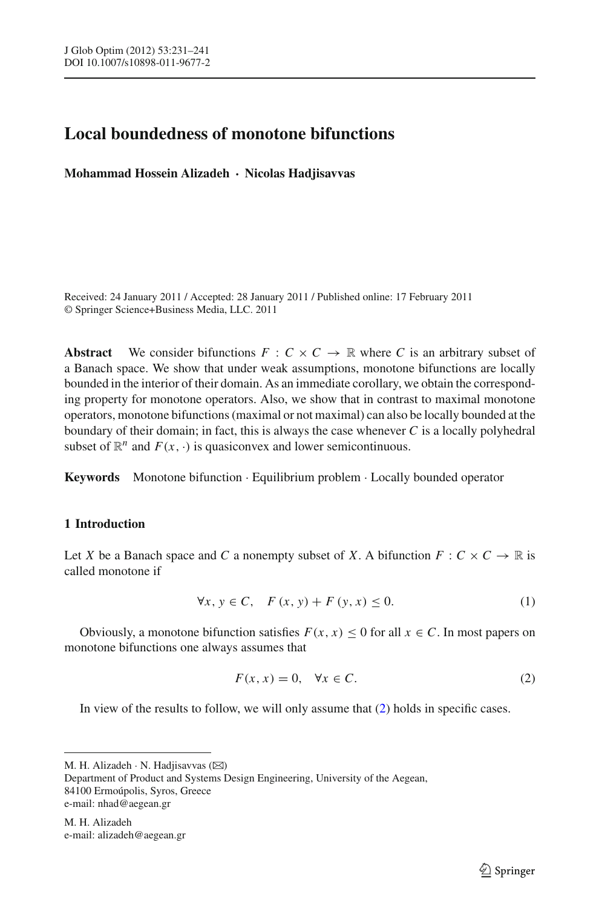# **Local boundedness of monotone bifunctions**

**Mohammad Hossein Alizadeh · Nicolas Hadjisavvas**

Received: 24 January 2011 / Accepted: 28 January 2011 / Published online: 17 February 2011 © Springer Science+Business Media, LLC. 2011

**Abstract** We consider bifunctions  $F: C \times C \rightarrow \mathbb{R}$  where *C* is an arbitrary subset of a Banach space. We show that under weak assumptions, monotone bifunctions are locally bounded in the interior of their domain. As an immediate corollary, we obtain the corresponding property for monotone operators. Also, we show that in contrast to maximal monotone operators, monotone bifunctions (maximal or not maximal) can also be locally bounded at the boundary of their domain; in fact, this is always the case whenever *C* is a locally polyhedral subset of  $\mathbb{R}^n$  and  $F(x, \cdot)$  is quasiconvex and lower semicontinuous.

**Keywords** Monotone bifunction · Equilibrium problem · Locally bounded operator

## **1 Introduction**

Let *X* be a Banach space and *C* a nonempty subset of *X*. A bifunction  $F: C \times C \to \mathbb{R}$  is called monotone if

$$
\forall x, y \in C, \quad F(x, y) + F(y, x) \le 0. \tag{1}
$$

<span id="page-0-1"></span>Obviously, a monotone bifunction satisfies  $F(x, x) \le 0$  for all  $x \in C$ . In most papers on monotone bifunctions one always assumes that

$$
F(x, x) = 0, \quad \forall x \in C.
$$
 (2)

<span id="page-0-0"></span>In view of the results to follow, we will only assume that  $(2)$  holds in specific cases.

M. H. Alizadeh · N. Hadjisavvas  $(\boxtimes)$ Department of Product and Systems Design Engineering, University of the Aegean, 84100 Ermoúpolis, Syros, Greece e-mail: nhad@aegean.gr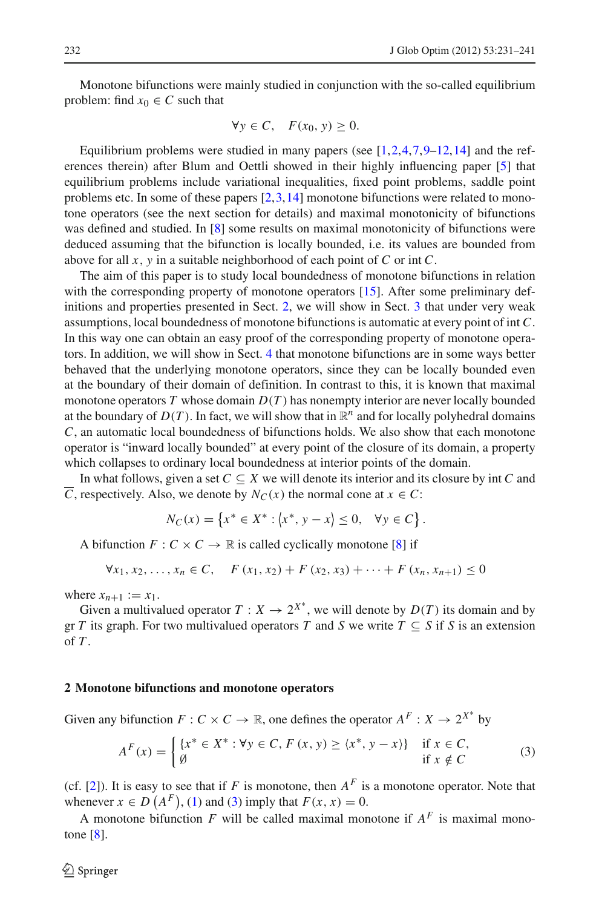Monotone bifunctions were mainly studied in conjunction with the so-called equilibrium problem: find  $x_0 \in C$  such that

$$
\forall y \in C, \quad F(x_0, y) \ge 0.
$$

Equilibrium problems were studied in many papers (see  $[1,2,4,7,9-12,14]$  $[1,2,4,7,9-12,14]$  $[1,2,4,7,9-12,14]$  $[1,2,4,7,9-12,14]$  $[1,2,4,7,9-12,14]$  $[1,2,4,7,9-12,14]$  $[1,2,4,7,9-12,14]$  $[1,2,4,7,9-12,14]$  and the references therein) after Blum and Oettli showed in their highly influencing paper [\[5\]](#page-10-6) that equilibrium problems include variational inequalities, fixed point problems, saddle point problems etc. In some of these papers  $[2,3,14]$  $[2,3,14]$  $[2,3,14]$  monotone bifunctions were related to monotone operators (see the next section for details) and maximal monotonicity of bifunctions was defined and studied. In [\[8](#page-10-8)] some results on maximal monotonicity of bifunctions were deduced assuming that the bifunction is locally bounded, i.e. its values are bounded from above for all *x*, *y* in a suitable neighborhood of each point of *C* or int *C*.

The aim of this paper is to study local boundedness of monotone bifunctions in relation with the corresponding property of monotone operators [\[15](#page-10-9)]. After some preliminary definitions and properties presented in Sect. [2,](#page-1-0) we will show in Sect. [3](#page-4-0) that under very weak assumptions, local boundedness of monotone bifunctions is automatic at every point of int *C*. In this way one can obtain an easy proof of the corresponding property of monotone operators. In addition, we will show in Sect. [4](#page-7-0) that monotone bifunctions are in some ways better behaved that the underlying monotone operators, since they can be locally bounded even at the boundary of their domain of definition. In contrast to this, it is known that maximal monotone operators *T* whose domain *D*(*T* ) has nonempty interior are never locally bounded at the boundary of  $D(T)$ . In fact, we will show that in  $\mathbb{R}^n$  and for locally polyhedral domains *C*, an automatic local boundedness of bifunctions holds. We also show that each monotone operator is "inward locally bounded" at every point of the closure of its domain, a property which collapses to ordinary local boundedness at interior points of the domain.

In what follows, given a set  $C \subseteq X$  we will denote its interior and its closure by int  $C$  and *C*, respectively. Also, we denote by  $N_C(x)$  the normal cone at  $x \in C$ :

$$
N_C(x) = \{ x^* \in X^* : \langle x^*, y - x \rangle \le 0, \quad \forall y \in C \}.
$$

A bifunction  $F: C \times C \rightarrow \mathbb{R}$  is called cyclically monotone [\[8](#page-10-8)] if

$$
\forall x_1, x_2, \dots, x_n \in C, \quad F(x_1, x_2) + F(x_2, x_3) + \dots + F(x_n, x_{n+1}) \le 0
$$

where  $x_{n+1} := x_1$ .

Given a multivalued operator  $T: X \to 2^{X^*}$ , we will denote by  $D(T)$  its domain and by gr *T* its graph. For two multivalued operators *T* and *S* we write  $T \subseteq S$  if *S* is an extension of *T* .

#### <span id="page-1-0"></span>**2 Monotone bifunctions and monotone operators**

Given any bifunction  $F: C \times C \to \mathbb{R}$ , one defines the operator  $A^F: X \to 2^{X^*}$  by

$$
A^{F}(x) = \begin{cases} \{x^* \in X^* : \forall y \in C, F(x, y) \ge \langle x^*, y - x \rangle\} & \text{if } x \in C, \\ \emptyset & \text{if } x \notin C \end{cases}
$$
 (3)

<span id="page-1-1"></span>(cf. [\[2\]](#page-10-0)). It is easy to see that if *F* is monotone, then  $A^F$  is a monotone operator. Note that whenever  $x \in D(A^F)$ , [\(1\)](#page-0-1) and [\(3\)](#page-1-1) imply that  $F(x, x) = 0$ .

A monotone bifunction  $F$  will be called maximal monotone if  $A^F$  is maximal monotone  $[8]$ .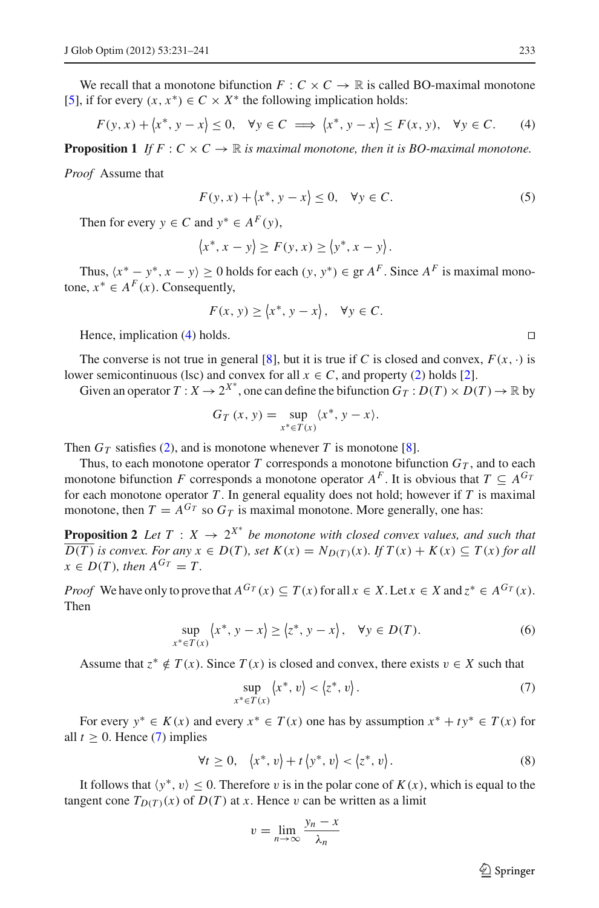We recall that a monotone bifunction  $F: C \times C \rightarrow \mathbb{R}$  is called BO-maximal monotone [\[5](#page-10-6)], if for every  $(x, x^*) \in C \times X^*$  the following implication holds:

$$
F(y, x) + \langle x^*, y - x \rangle \le 0, \quad \forall y \in C \implies \langle x^*, y - x \rangle \le F(x, y), \quad \forall y \in C. \tag{4}
$$

<span id="page-2-5"></span><span id="page-2-0"></span>**Proposition 1** *If*  $F: C \times C \rightarrow \mathbb{R}$  *is maximal monotone, then it is BO-maximal monotone.* 

*Proof* Assume that

$$
F(y, x) + \langle x^*, y - x \rangle \le 0, \quad \forall y \in C.
$$
 (5)

Then for every  $y \in C$  and  $y^* \in A^F(y)$ ,

$$
\langle x^*, x - y \rangle \ge F(y, x) \ge \langle y^*, x - y \rangle.
$$

Thus,  $\langle x^* - y^*, x - y \rangle \ge 0$  holds for each  $(y, y^*) \in \text{gr } A^F$ . Since  $A^F$  is maximal monotone,  $x^*$  ∈  $A^F(x)$ . Consequently,

$$
F(x, y) \ge \langle x^*, y - x \rangle, \quad \forall y \in C.
$$

Hence, implication [\(4\)](#page-2-0) holds.

The converse is not true in general [\[8](#page-10-8)], but it is true if *C* is closed and convex,  $F(x, \cdot)$  is lower semicontinuous (lsc) and convex for all  $x \in C$ , and property [\(2\)](#page-0-0) holds [\[2](#page-10-0)].

Given an operator  $T: X \to 2^{X^*}$ , one can define the bifunction  $G_T: D(T) \times D(T) \to \mathbb{R}$  by

$$
G_T(x, y) = \sup_{x^* \in T(x)} \langle x^*, y - x \rangle.
$$

Then  $G_T$  satisfies [\(2\)](#page-0-0), and is monotone whenever *T* is monotone [\[8\]](#page-10-8).

Thus, to each monotone operator  $T$  corresponds a monotone bifunction  $G_T$ , and to each monotone bifunction *F* corresponds a monotone operator  $A^F$ . It is obvious that  $T \subset A^{G_T}$ for each monotone operator *T* . In general equality does not hold; however if *T* is maximal monotone, then  $T = A^{G_T}$  so  $G_T$  is maximal monotone. More generally, one has:

<span id="page-2-4"></span>**Proposition 2** Let  $T : X \to 2^{X^*}$  be monotone with closed convex values, and such that  $\overline{D(T)}$  *is convex. For any*  $x \in D(T)$ *, set*  $K(x) = N_{D(T)}(x)$ *. If*  $T(x) + K(x) \subseteq T(x)$  *for all*  $x \in D(T)$ , then  $A^{G_T} = T$ .

*Proof* We have only to prove that  $A^{G_T}(x) \subseteq T(x)$  for all  $x \in X$ . Let  $x \in X$  and  $z^* \in A^{G_T}(x)$ . Then

$$
\sup_{x^* \in T(x)} \langle x^*, y - x \rangle \ge \langle z^*, y - x \rangle, \quad \forall y \in D(T). \tag{6}
$$

<span id="page-2-3"></span><span id="page-2-1"></span>Assume that  $z^* \notin T(x)$ . Since  $T(x)$  is closed and convex, there exists  $v \in X$  such that

$$
\sup_{x^* \in T(x)} \langle x^*, v \rangle < \langle z^*, v \rangle. \tag{7}
$$

For every  $y^* \in K(x)$  and every  $x^* \in T(x)$  one has by assumption  $x^* + ty^* \in T(x)$  for all  $t > 0$ . Hence [\(7\)](#page-2-1) implies

$$
\forall t \geq 0, \quad \langle x^*, v \rangle + t \langle y^*, v \rangle < \langle z^*, v \rangle. \tag{8}
$$

<span id="page-2-2"></span>It follows that  $\langle y^*, v \rangle \leq 0$ . Therefore v is in the polar cone of  $K(x)$ , which is equal to the tangent cone  $T_{D(T)}(x)$  of  $D(T)$  at *x*. Hence v can be written as a limit

$$
v = \lim_{n \to \infty} \frac{y_n - x}{\lambda_n}
$$

 $\circled{2}$  Springer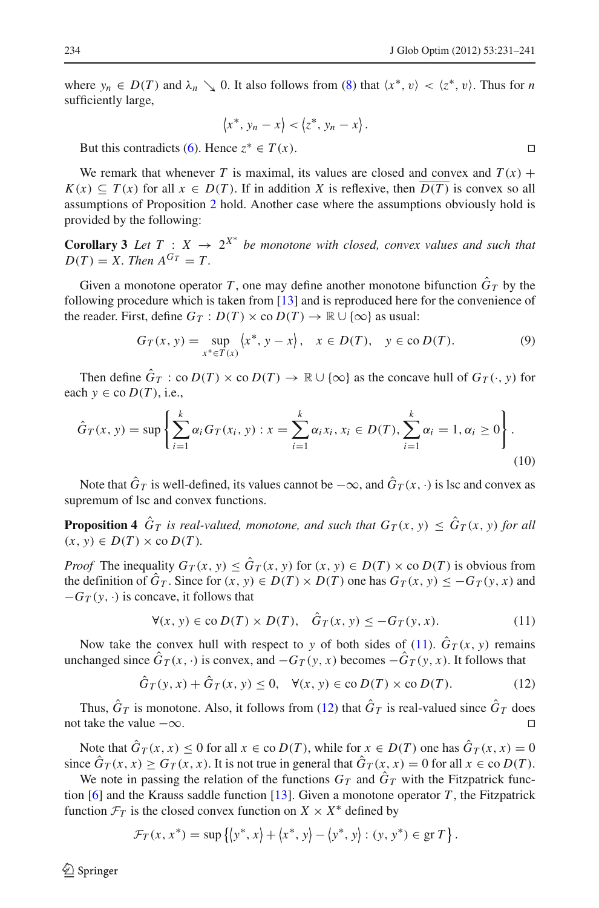where  $y_n \in D(T)$  and  $\lambda_n \searrow 0$ . It also follows from [\(8\)](#page-2-2) that  $\langle x^*, v \rangle < \langle z^*, v \rangle$ . Thus for *n* sufficiently large,

$$
\langle x^*, y_n - x \rangle < \langle z^*, y_n - x \rangle.
$$

But this contradicts [\(6\)](#page-2-3). Hence  $z^* \in T(x)$ .

We remark that whenever *T* is maximal, its values are closed and convex and  $T(x)$  +  $K(x) \subseteq T(x)$  for all  $x \in D(T)$ . If in addition *X* is reflexive, then  $D(T)$  is convex so all assumptions of Proposition [2](#page-2-4) hold. Another case where the assumptions obviously hold is provided by the following:

**Corollary 3** Let  $T : X \rightarrow 2^{X^*}$  be monotone with closed, convex values and such that  $D(T) = X$ *. Then*  $A^{G_T} = T$ .

Given a monotone operator *T*, one may define another monotone bifunction  $\hat{G}_T$  by the following procedure which is taken from [\[13\]](#page-10-10) and is reproduced here for the convenience of the reader. First, define  $G_T : D(T) \times co D(T) \to \mathbb{R} \cup \{\infty\}$  as usual:

$$
G_T(x, y) = \sup_{x^* \in T(x)} \langle x^*, y - x \rangle, \quad x \in D(T), \quad y \in \text{co } D(T). \tag{9}
$$

<span id="page-3-2"></span>Then define  $\hat{G}_T$  : co  $D(T) \times$  co  $D(T) \to \mathbb{R} \cup {\infty}$  as the concave hull of  $G_T(\cdot, y)$  for each  $y \in$  co  $D(T)$ , i.e.,

<span id="page-3-3"></span>
$$
\hat{G}_T(x, y) = \sup \left\{ \sum_{i=1}^k \alpha_i G_T(x_i, y) : x = \sum_{i=1}^k \alpha_i x_i, x_i \in D(T), \sum_{i=1}^k \alpha_i = 1, \alpha_i \ge 0 \right\}.
$$
\n(10)

Note that  $\hat{G}_T$  is well-defined, its values cannot be  $-\infty$ , and  $\hat{G}_T(x, \cdot)$  is lsc and convex as supremum of lsc and convex functions.

**Proposition 4**  $\hat{G}_T$  *is real-valued, monotone, and such that*  $G_T(x, y) \leq \hat{G}_T(x, y)$  *for all*  $(x, y) \in D(T) \times co D(T)$ .

*Proof* The inequality  $G_T(x, y) \leq \hat{G}_T(x, y)$  for  $(x, y) \in D(T) \times \text{co } D(T)$  is obvious from the definition of  $\hat{G}_T$ . Since for  $(x, y) \in D(T) \times D(T)$  one has  $G_T(x, y) \leq -G_T(y, x)$  and  $-G_T(y, \cdot)$  is concave, it follows that

$$
\forall (x, y) \in \text{co } D(T) \times D(T), \quad \hat{G}_T(x, y) \le -G_T(y, x). \tag{11}
$$

<span id="page-3-0"></span>Now take the convex hull with respect to *y* of both sides of [\(11\)](#page-3-0).  $\hat{G}_T(x, y)$  remains unchanged since  $\hat{G}_T(x, \cdot)$  is convex, and  $-G_T(y, x)$  becomes  $-\hat{G}_T(y, x)$ . It follows that

$$
\hat{G}_T(y,x) + \hat{G}_T(x,y) \le 0, \quad \forall (x,y) \in \text{co } D(T) \times \text{co } D(T). \tag{12}
$$

<span id="page-3-1"></span>Thus,  $\hat{G}_T$  is monotone. Also, it follows from [\(12\)](#page-3-1) that  $\hat{G}_T$  is real-valued since  $\hat{G}_T$  does not take the value  $-\infty$ .

Note that  $\hat{G}_T(x, x) \leq 0$  for all  $x \in \text{co } D(T)$ , while for  $x \in D(T)$  one has  $\hat{G}_T(x, x) = 0$ since  $\hat{G}_T(x, x) \geq G_T(x, x)$ . It is not true in general that  $\hat{G}_T(x, x) = 0$  for all  $x \in \text{co } D(T)$ .

We note in passing the relation of the functions  $G_T$  and  $\hat{G}_T$  with the Fitzpatrick function [\[6](#page-10-11)] and the Krauss saddle function [\[13](#page-10-10)]. Given a monotone operator *T* , the Fitzpatrick function  $\mathcal{F}_T$  is the closed convex function on *X* × *X*<sup>\*</sup> defined by

$$
\mathcal{F}_T(x, x^*) = \sup \{ \langle y^*, x \rangle + \langle x^*, y \rangle - \langle y^*, y \rangle : (y, y^*) \in \text{gr } T \}.
$$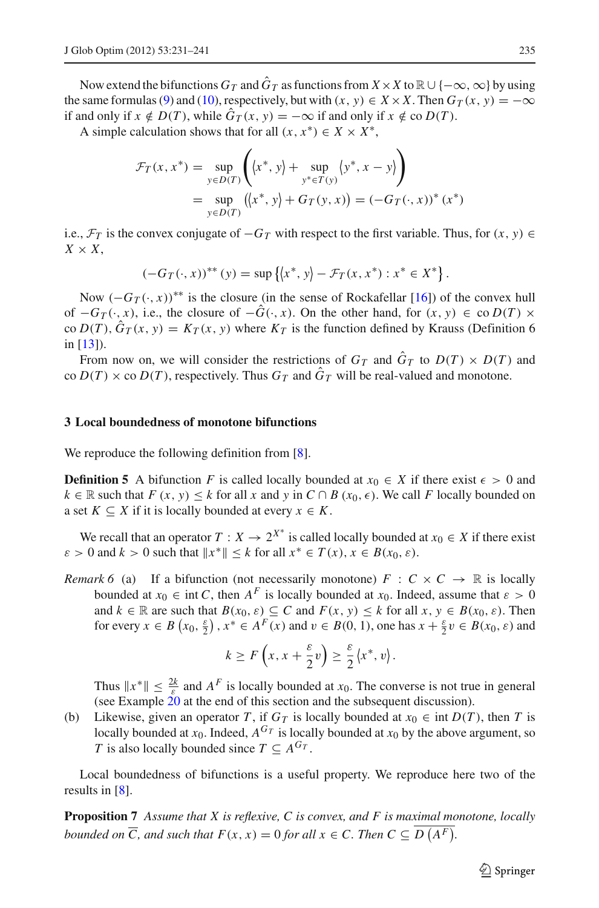Now extend the bifunctions  $G_T$  and  $\hat{G}_T$  as functions from  $X \times X$  to  $\mathbb{R} \cup \{-\infty, \infty\}$  by using the same formulas [\(9\)](#page-3-2) and [\(10\)](#page-3-3), respectively, but with  $(x, y) \in X \times X$ . Then  $G_T(x, y) = -\infty$ if and only if *x* ∉ *D*(*T*), while  $\hat{G}_T(x, y) = -\infty$  if and only if *x* ∉ co *D*(*T*).

A simple calculation shows that for all  $(x, x^*) \in X \times X^*$ ,

$$
\mathcal{F}_T(x, x^*) = \sup_{y \in D(T)} \left( \langle x^*, y \rangle + \sup_{y^* \in T(y)} \langle y^*, x - y \rangle \right)
$$
  
= 
$$
\sup_{y \in D(T)} (\langle x^*, y \rangle + G_T(y, x)) = (-G_T(\cdot, x))^* (x^*)
$$

i.e.,  $\mathcal{F}_T$  is the convex conjugate of  $-G_T$  with respect to the first variable. Thus, for  $(x, y) \in$  $X \times X$ ,

$$
(-G_T(\cdot, x))^{**}(y) = \sup \{(x^*, y) - \mathcal{F}_T(x, x^*) : x^* \in X^*\}.
$$

Now  $(-G_T(\cdot, x))^{**}$  is the closure (in the sense of Rockafellar [\[16\]](#page-10-12)) of the convex hull of  $-G_T(\cdot, x)$ , i.e., the closure of  $-\hat{G}(\cdot, x)$ . On the other hand, for  $(x, y) \in$  co  $D(T) \times$ co  $D(T)$ ,  $\hat{G}_T(x, y) = K_T(x, y)$  where  $K_T$  is the function defined by Krauss (Definition 6 in [\[13\]](#page-10-10)).

From now on, we will consider the restrictions of  $G_T$  and  $\hat{G}_T$  to  $D(T) \times D(T)$  and  $\cot D(T) \times \cot D(T)$ , respectively. Thus  $G_T$  and  $\hat{G}_T$  will be real-valued and monotone.

#### <span id="page-4-0"></span>**3 Local boundedness of monotone bifunctions**

We reproduce the following definition from [\[8\]](#page-10-8).

**Definition 5** A bifunction *F* is called locally bounded at  $x_0 \in X$  if there exist  $\epsilon > 0$  and *k* ∈ R such that *F* (*x*, *y*) ≤ *k* for all *x* and *y* in *C* ∩ *B* ( $x_0$ ,  $\epsilon$ ). We call *F* locally bounded on a set  $K \subset X$  if it is locally bounded at every  $x \in K$ .

<span id="page-4-1"></span>We recall that an operator  $T : X \to 2^{X^*}$  is called locally bounded at  $x_0 \in X$  if there exist  $\varepsilon > 0$  and  $k > 0$  such that  $||x^*|| \leq k$  for all  $x^* \in T(x)$ ,  $x \in B(x_0, \varepsilon)$ .

*Remark 6* (a) If a bifunction (not necessarily monotone)  $F : C \times C \rightarrow \mathbb{R}$  is locally bounded at  $x_0 \in \text{int } C$ , then  $A^F$  is locally bounded at  $x_0$ . Indeed, assume that  $\varepsilon > 0$ and  $k \in \mathbb{R}$  are such that  $B(x_0, \varepsilon) \subseteq C$  and  $F(x, y) \le k$  for all  $x, y \in B(x_0, \varepsilon)$ . Then for every  $x \in B(x_0, \frac{\varepsilon}{2})$ ,  $x^* \in A^F(x)$  and  $v \in B(0, 1)$ , one has  $x + \frac{\varepsilon}{2}v \in B(x_0, \varepsilon)$  and

$$
k \ge F\left(x, x + \frac{\varepsilon}{2}v\right) \ge \frac{\varepsilon}{2} \langle x^*, v \rangle.
$$

Thus  $||x^*|| \le \frac{2k}{\varepsilon}$  and  $A^F$  is locally bounded at *x*<sub>0</sub>. The converse is not true in general (see Example [20](#page-7-1) at the end of this section and the subsequent discussion).

(b) Likewise, given an operator *T*, if  $G_T$  is locally bounded at  $x_0 \in \text{int } D(T)$ , then *T* is locally bounded at  $x_0$ . Indeed,  $A^{G_T}$  is locally bounded at  $x_0$  by the above argument, so *T* is also locally bounded since  $T \subseteq A^{G_T}$ .

<span id="page-4-2"></span>Local boundedness of bifunctions is a useful property. We reproduce here two of the results in [\[8\]](#page-10-8).

**Proposition 7** *Assume that X is reflexive, C is convex, and F is maximal monotone, locally bounded on*  $\overline{C}$ *, and such that*  $F(x, x) = 0$  *for all*  $x \in C$ *. Then*  $C \subseteq D(A^F)$ *.* 

 $\circled{2}$  Springer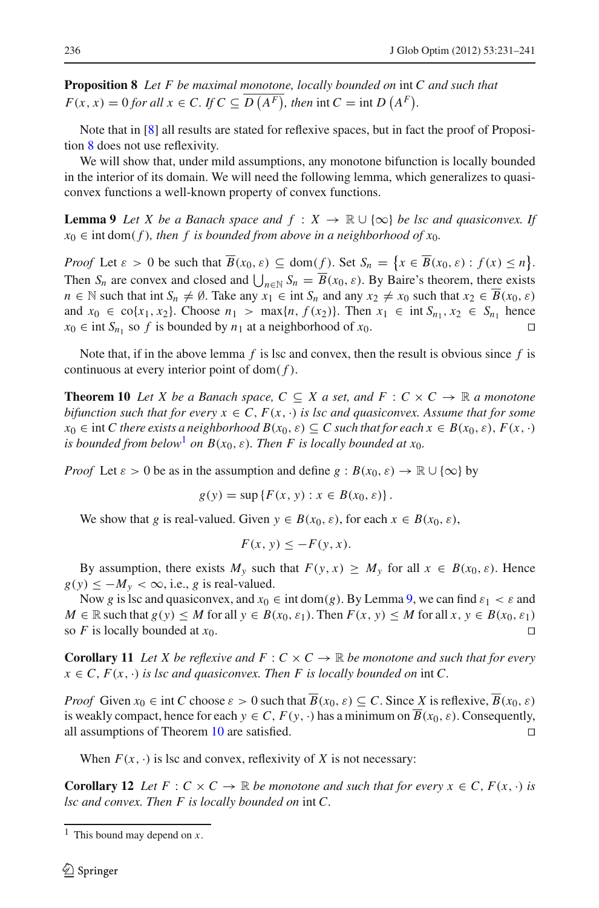<span id="page-5-0"></span>**Proposition 8** *Let F be maximal monotone, locally bounded on* int *C and such that*  $F(x, x) = 0$  *for all*  $x \in C$ *. If*  $C \subseteq D(A^F)$ *, then* int  $C = \text{int } D(A^F)$ *.* 

Note that in [\[8](#page-10-8)] all results are stated for reflexive spaces, but in fact the proof of Proposition [8](#page-5-0) does not use reflexivity.

We will show that, under mild assumptions, any monotone bifunction is locally bounded in the interior of its domain. We will need the following lemma, which generalizes to quasiconvex functions a well-known property of convex functions.

<span id="page-5-2"></span>**Lemma 9** *Let X be a Banach space and*  $f : X \to \mathbb{R} \cup \{\infty\}$  *be lsc and quasiconvex. If*  $x_0 \in \text{int dom}(f)$ , then f is bounded from above in a neighborhood of  $x_0$ .

*Proof* Let  $\varepsilon > 0$  be such that  $B(x_0, \varepsilon) \subseteq \text{dom}(f)$ . Set  $S_n = \{x \in B(x_0, \varepsilon) : f(x) \le n\}.$ Then  $S_n$  are convex and closed and  $\bigcup_{n \in \mathbb{N}} S_n = B(x_0, \varepsilon)$ . By Baire's theorem, there exists *n* ∈ N such that int  $S_n \neq \emptyset$ . Take any  $x_1 \in \text{int } S_n$  and any  $x_2 \neq x_0$  such that  $x_2 \in \overline{B}(x_0, \varepsilon)$ and  $x_0 \in \text{co}\{x_1, x_2\}$ . Choose  $n_1 > \max\{n, f(x_2)\}$ . Then  $x_1 \in \text{int } S_{n_1}, x_2 \in S_{n_1}$  hence  $x_0 \in \text{int } S_{n_1}$  so *f* is bounded by  $n_1$  at a neighborhood of  $x_0$ .

<span id="page-5-3"></span>Note that, if in the above lemma  $f$  is lsc and convex, then the result is obvious since  $f$  is continuous at every interior point of  $dom(f)$ .

**Theorem 10** Let X be a Banach space,  $C \subseteq X$  a set, and  $F : C \times C \rightarrow \mathbb{R}$  a monotone *bifunction such that for every*  $x \in C$ ,  $F(x, \cdot)$  *is lsc and quasiconvex. Assume that for some*  $x_0 \in \text{int } C$  there exists a neighborhood  $B(x_0, \varepsilon) \subseteq C$  such that for each  $x \in B(x_0, \varepsilon)$ ,  $F(x, \cdot)$ *is bounded from below*<sup>[1](#page-5-1)</sup> *on B*( $x_0$ ,  $\varepsilon$ )*. Then F is locally bounded at*  $x_0$ *.* 

*Proof* Let  $\varepsilon > 0$  be as in the assumption and define  $g : B(x_0, \varepsilon) \to \mathbb{R} \cup \{\infty\}$  by

$$
g(y) = \sup \{ F(x, y) : x \in B(x_0, \varepsilon) \}.
$$

We show that *g* is real-valued. Given  $y \in B(x_0, \varepsilon)$ , for each  $x \in B(x_0, \varepsilon)$ ,

$$
F(x, y) \le -F(y, x).
$$

By assumption, there exists  $M_y$  such that  $F(y, x) \ge M_y$  for all  $x \in B(x_0, \varepsilon)$ . Hence  $g(y) \leq -M_y < \infty$ , i.e., *g* is real-valued.

Now g is lsc and quasiconvex, and  $x_0 \in \text{int dom}(g)$ . By Lemma [9,](#page-5-2) we can find  $\varepsilon_1 < \varepsilon$  and *M* ∈  $\mathbb R$  such that  $g(y)$  ≤ *M* for all  $y$  ∈  $B(x_0, \varepsilon_1)$ . Then  $F(x, y)$  ≤ *M* for all  $x, y$  ∈  $B(x_0, \varepsilon_1)$ so *F* is locally bounded at  $x_0$ .

**Corollary 11** Let X be reflexive and  $F: C \times C \rightarrow \mathbb{R}$  be monotone and such that for every  $x \in C$ ,  $F(x, \cdot)$  *is lsc and quasiconvex. Then F is locally bounded on* int *C*.

*Proof* Given  $x_0 \in \text{int } C$  choose  $\varepsilon > 0$  such that  $\overline{B}(x_0, \varepsilon) \subseteq C$ . Since *X* is reflexive,  $\overline{B}(x_0, \varepsilon)$ is weakly compact, hence for each  $y \in C$ ,  $F(y, \cdot)$  has a minimum on  $B(x_0, \varepsilon)$ . Consequently, all assumptions of Theorem [10](#page-5-3) are satisfied.

When  $F(x, \cdot)$  is lsc and convex, reflexivity of *X* is not necessary:

<span id="page-5-4"></span>**Corollary 12** *Let*  $F: C \times C \rightarrow \mathbb{R}$  *be monotone and such that for every*  $x \in C, F(x, \cdot)$  *is lsc and convex. Then F is locally bounded on* int *C.*

<span id="page-5-1"></span><sup>1</sup> This bound may depend on *x*.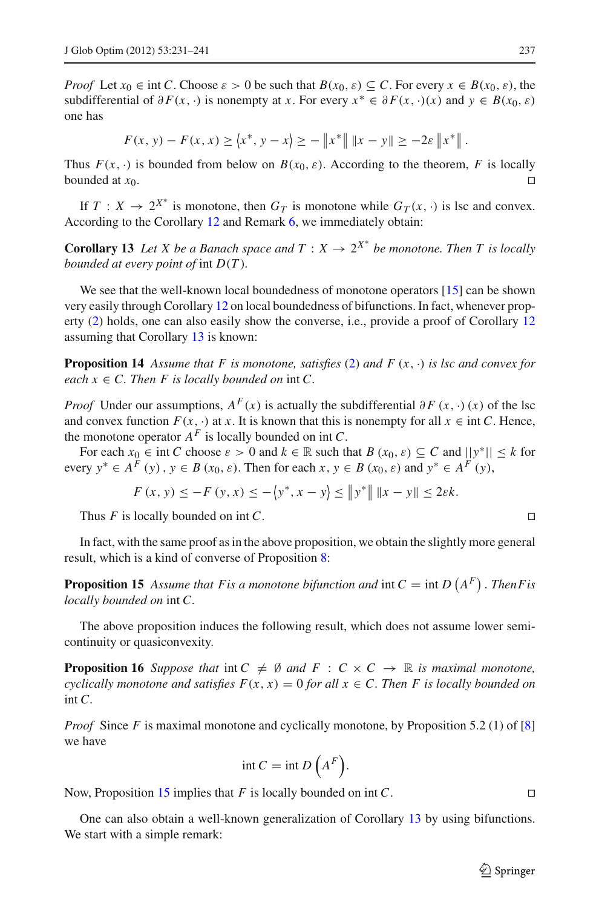*Proof* Let  $x_0 \in \text{int } C$ . Choose  $\varepsilon > 0$  be such that  $B(x_0, \varepsilon) \subseteq C$ . For every  $x \in B(x_0, \varepsilon)$ , the subdifferential of  $\partial F(x, \cdot)$  is nonempty at *x*. For every  $x^* \in \partial F(x, \cdot)(x)$  and  $y \in B(x_0, \varepsilon)$ one has

$$
F(x, y) - F(x, x) \ge \langle x^*, y - x \rangle \ge -\left\| x^* \right\| \left\| x - y \right\| \ge -2\varepsilon \left\| x^* \right\|.
$$

Thus  $F(x, \cdot)$  is bounded from below on  $B(x_0, \varepsilon)$ . According to the theorem, *F* is locally bounded at  $x_0$ .

<span id="page-6-0"></span>If  $T: X \to 2^{X^*}$  is monotone, then  $G_T$  is monotone while  $G_T(x, \cdot)$  is lsc and convex. According to the Corollary [12](#page-5-4) and Remark [6,](#page-4-1) we immediately obtain:

**Corollary 13** Let *X* be a Banach space and  $T : X \to 2^{X^*}$  be monotone. Then *T* is locally *bounded at every point of* int *D*(*T* )*.*

We see that the well-known local boundedness of monotone operators [\[15\]](#page-10-9) can be shown very easily through Corollary [12](#page-5-4) on local boundedness of bifunctions. In fact, whenever property [\(2\)](#page-0-0) holds, one can also easily show the converse, i.e., provide a proof of Corollary [12](#page-5-4) assuming that Corollary [13](#page-6-0) is known:

**Proposition 14** Assume that F is monotone, satisfies [\(2\)](#page-0-0) and  $F(x, \cdot)$  is lsc and convex for *each*  $x \in C$ *. Then F is locally bounded on* int *C.* 

*Proof* Under our assumptions,  $A^F(x)$  is actually the subdifferential  $\partial F(x, \cdot)(x)$  of the lsc and convex function  $F(x, \cdot)$  at *x*. It is known that this is nonempty for all  $x \in \text{int } C$ . Hence, the monotone operator  $A^F$  is locally bounded on int  $C$ .

For each  $x_0 \in \text{int } C$  choose  $\varepsilon > 0$  and  $k \in \mathbb{R}$  such that  $B(x_0, \varepsilon) \subseteq C$  and  $||y^*|| \leq k$  for every  $y^* \in A^F(y)$ ,  $y \in B(x_0, \varepsilon)$ . Then for each  $x, y \in B(x_0, \varepsilon)$  and  $y^* \in A^F(y)$ ,

$$
F(x, y) \le -F(y, x) \le -\langle y^*, x - y \rangle \le ||y^*|| ||x - y|| \le 2\varepsilon k.
$$

Thus *F* is locally bounded on int *C*.

<span id="page-6-1"></span>In fact, with the same proof as in the above proposition, we obtain the slightly more general result, which is a kind of converse of Proposition [8:](#page-5-0)

**Proposition 15** Assume that F is a monotone bifunction and  $int C = \int ln D (A^F)$ . Then F is *locally bounded on* int *C.*

The above proposition induces the following result, which does not assume lower semicontinuity or quasiconvexity.

**Proposition 16** *Suppose that* int  $C \neq \emptyset$  *and*  $F : C \times C \rightarrow \mathbb{R}$  *is maximal monotone, cyclically monotone and satisfies*  $F(x, x) = 0$  *for all*  $x \in C$ *. Then F is locally bounded on* int *C.*

*Proof* Since *F* is maximal monotone and cyclically monotone, by Proposition 5.2 (1) of [\[8\]](#page-10-8) we have

$$
int C = int D\left(A^F\right).
$$

Now, Proposition [15](#page-6-1) implies that *F* is locally bounded on int *C*.

<span id="page-6-2"></span>One can also obtain a well-known generalization of Corollary [13](#page-6-0) by using bifunctions. We start with a simple remark:

 $\mathcal{L}$  Springer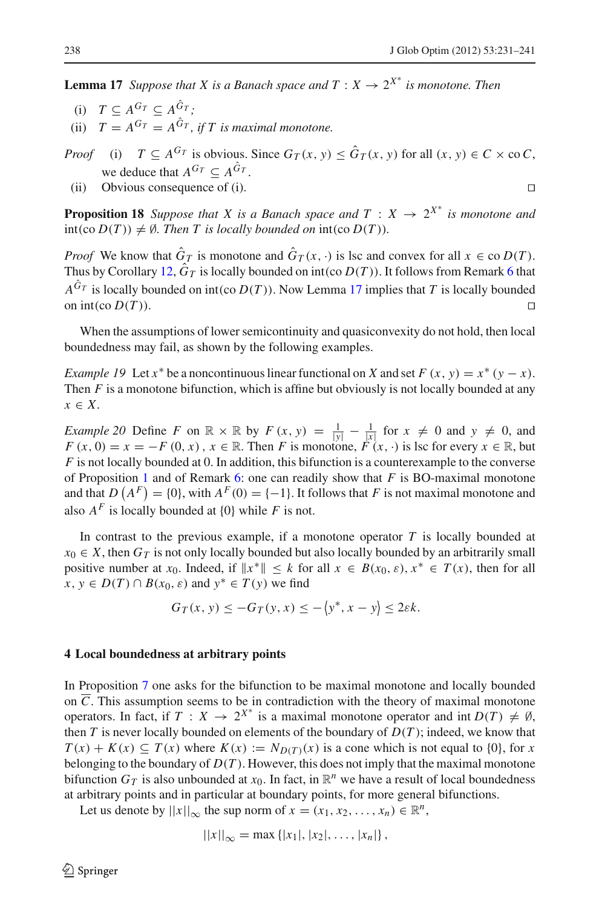**Lemma 17** *Suppose that X is a Banach space and T* :  $X \rightarrow 2^{X^*}$  *is monotone. Then* 

(i)  $T \subset A^{G_T} \subset A^{\hat{G}_T}$ ; (ii)  $T = A^{G_T} = A^{\hat{G}_T}$ , if T is maximal monotone.

*Proof* (i)  $T \subseteq A^{G_T}$  is obvious. Since  $G_T(x, y) \leq \hat{G}_T(x, y)$  for all  $(x, y) \in C \times \infty C$ , we deduce that  $A^{G_T} \subset A^{\hat{G}_T}$ .

(ii) Obvious consequence of (i).

**Proposition 18** *Suppose that X is a Banach space and*  $T : X \rightarrow 2^{X^*}$  *is monotone and*  $int(\text{co } D(T)) \neq \emptyset$ *. Then T is locally bounded on*  $int(\text{co } D(T))$ *.* 

*Proof* We know that  $\hat{G}_T$  is monotone and  $\hat{G}_T(x, \cdot)$  is lsc and convex for all  $x \in \text{co } D(T)$ . Thus by Corollary [12,](#page-5-4)  $\hat{G}_T$  is locally bounded on int(co  $D(T)$ ). It follows from Remark [6](#page-4-1) that  $A^{\hat{G}_T}$  is locally bounded on int(co  $D(T)$ ). Now Lemma [17](#page-6-2) implies that *T* is locally bounded on int(co  $D(T)$ ).

When the assumptions of lower semicontinuity and quasiconvexity do not hold, then local boundedness may fail, as shown by the following examples.

*Example 19* Let  $x^*$  be a noncontinuous linear functional on *X* and set  $F(x, y) = x^* (y - x)$ . Then *F* is a monotone bifunction, which is affine but obviously is not locally bounded at any *x* ∈ *X*.

<span id="page-7-1"></span>*Example 20* Define *F* on  $\mathbb{R} \times \mathbb{R}$  by  $F(x, y) = \frac{1}{|y|} - \frac{1}{|x|}$  for  $x \neq 0$  and  $y \neq 0$ , and  $F(x, 0) = x = -F(0, x)$ ,  $x \in \mathbb{R}$ . Then *F* is monotone,  $F(x, \cdot)$  is lsc for every  $x \in \mathbb{R}$ , but *F* is not locally bounded at 0. In addition, this bifunction is a counterexample to the converse of Proposition [1](#page-2-5) and of Remark [6:](#page-4-1) one can readily show that *F* is BO-maximal monotone and that  $D(A^F) = \{0\}$ , with  $A^F(0) = \{-1\}$ . It follows that *F* is not maximal monotone and also  $A^F$  is locally bounded at  $\{0\}$  while *F* is not.

In contrast to the previous example, if a monotone operator  $T$  is locally bounded at  $x_0 \in X$ , then  $G_T$  is not only locally bounded but also locally bounded by an arbitrarily small positive number at *x*<sub>0</sub>. Indeed, if  $||x^*|| \leq k$  for all  $x \in B(x_0, \varepsilon), x^* \in T(x)$ , then for all  $x, y \in D(T) \cap B(x_0, \varepsilon)$  and  $y^* \in T(y)$  we find

$$
G_T(x, y) \le -G_T(y, x) \le -\langle y^*, x - y \rangle \le 2\varepsilon k.
$$

#### <span id="page-7-0"></span>**4 Local boundedness at arbitrary points**

In Proposition [7](#page-4-2) one asks for the bifunction to be maximal monotone and locally bounded on  $\overline{C}$ . This assumption seems to be in contradiction with the theory of maximal monotone operators. In fact, if  $T : X \to 2^{X^*}$  is a maximal monotone operator and int  $D(T) \neq \emptyset$ , then  $T$  is never locally bounded on elements of the boundary of  $D(T)$ ; indeed, we know that  $T(x) + K(x) \subseteq T(x)$  where  $K(x) := N_{D(T)}(x)$  is a cone which is not equal to {0}, for *x* belonging to the boundary of  $D(T)$ . However, this does not imply that the maximal monotone bifunction  $G_T$  is also unbounded at  $x_0$ . In fact, in  $\mathbb{R}^n$  we have a result of local boundedness at arbitrary points and in particular at boundary points, for more general bifunctions.

Let us denote by  $||x||_{\infty}$  the sup norm of  $x = (x_1, x_2, \ldots, x_n) \in \mathbb{R}^n$ ,

$$
||x||_{\infty} = \max \{ |x_1|, |x_2|, \ldots, |x_n| \},
$$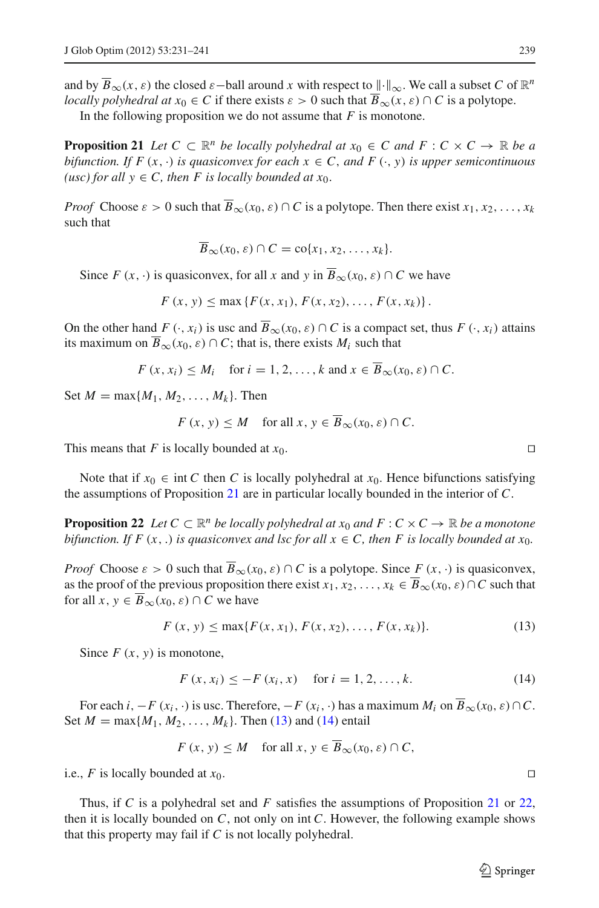and by  $\overline{B}_{\infty}(x, \varepsilon)$  the closed  $\varepsilon$  -ball around *x* with respect to  $\|\cdot\|_{\infty}$ . We call a subset *C* of  $\mathbb{R}^n$ *locally polyhedral at*  $x_0 \in C$  if there exists  $\varepsilon > 0$  such that  $\overline{B}_{\infty}(x, \varepsilon) \cap C$  is a polytope.

In the following proposition we do not assume that  $F$  is monotone.

<span id="page-8-0"></span>**Proposition 21** *Let*  $C \subset \mathbb{R}^n$  *be locally polyhedral at*  $x_0 \in C$  *and*  $F : C \times C \rightarrow \mathbb{R}$  *be a bifunction. If*  $F(x, \cdot)$  *is quasiconvex for each*  $x \in C$ *, and*  $F(\cdot, y)$  *is upper semicontinuous* (usc) for all  $y \in C$ , then *F* is locally bounded at  $x_0$ .

*Proof* Choose  $\varepsilon > 0$  such that  $\overline{B}_{\infty}(x_0, \varepsilon) \cap C$  is a polytope. Then there exist  $x_1, x_2, \ldots, x_k$ such that

$$
\overline{B}_{\infty}(x_0,\varepsilon)\cap C=\text{co}\{x_1,x_2,\ldots,x_k\}.
$$

Since  $F(x, \cdot)$  is quasiconvex, for all x and y in  $\overline{B}_{\infty}(x_0, \varepsilon) \cap C$  we have

 $F(x, y) \le \max \{F(x, x_1), F(x, x_2), \ldots, F(x, x_k)\}.$ 

On the other hand *F*  $(\cdot, x_i)$  is usc and  $\overline{B}_{\infty}(x_0, \varepsilon) \cap C$  is a compact set, thus *F*  $(\cdot, x_i)$  attains its maximum on  $\overline{B}_{\infty}(x_0, \varepsilon) \cap C$ ; that is, there exists  $M_i$  such that

$$
F(x, x_i) \le M_i \quad \text{for } i = 1, 2, \dots, k \text{ and } x \in B_\infty(x_0, \varepsilon) \cap C.
$$

Set  $M = \max\{M_1, M_2, ..., M_k\}$ . Then

$$
F(x, y) \le M \quad \text{for all } x, y \in B_{\infty}(x_0, \varepsilon) \cap C.
$$

This means that *F* is locally bounded at  $x_0$ .

<span id="page-8-3"></span>Note that if  $x_0 \in \text{int } C$  then *C* is locally polyhedral at  $x_0$ . Hence bifunctions satisfying the assumptions of Proposition [21](#page-8-0) are in particular locally bounded in the interior of *C*.

**Proposition 22** *Let*  $C \subset \mathbb{R}^n$  *be locally polyhedral at*  $x_0$  *and*  $F : C \times C \rightarrow \mathbb{R}$  *be a monotone bifunction. If*  $F(x,.)$  *is quasiconvex and lsc for all*  $x \in C$ *, then*  $F$  *is locally bounded at*  $x_0$ *.* 

*Proof* Choose  $\varepsilon > 0$  such that  $\overline{B}_{\infty}(x_0, \varepsilon) \cap C$  is a polytope. Since  $F(x, \cdot)$  is quasiconvex, as the proof of the previous proposition there exist  $x_1, x_2, \ldots, x_k \in \overline{B}_{\infty}(x_0, \varepsilon) \cap C$  such that for all  $x, y \in \overline{B}_{\infty}(x_0, \varepsilon) \cap C$  we have

$$
F(x, y) \le \max\{F(x, x_1), F(x, x_2), \dots, F(x, x_k)\}.
$$
 (13)

<span id="page-8-2"></span><span id="page-8-1"></span>Since  $F(x, y)$  is monotone,

$$
F(x, x_i) \le -F(x_i, x) \quad \text{for } i = 1, 2, ..., k. \tag{14}
$$

For each *i*,  $-F(x_i, \cdot)$  is usc. Therefore,  $-F(x_i, \cdot)$  has a maximum  $M_i$  on  $\overline{B}_{\infty}(x_0, \varepsilon) \cap C$ . Set  $M = \max\{M_1, M_2, ..., M_k\}$ . Then [\(13\)](#page-8-1) and [\(14\)](#page-8-2) entail

$$
F(x, y) \le M \quad \text{for all } x, y \in \overline{B}_{\infty}(x_0, \varepsilon) \cap C,
$$

i.e., *F* is locally bounded at  $x_0$ .

Thus, if *C* is a polyhedral set and *F* satisfies the assumptions of Proposition [21](#page-8-0) or [22,](#page-8-3) then it is locally bounded on *C*, not only on int *C*. However, the following example shows that this property may fail if *C* is not locally polyhedral.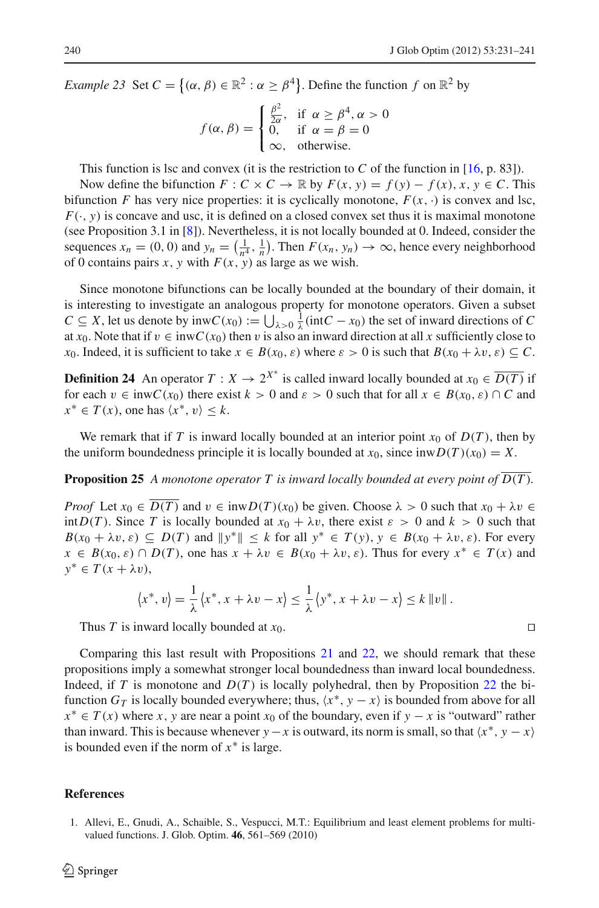*Example 23* Set  $C = \{(\alpha, \beta) \in \mathbb{R}^2 : \alpha \ge \beta^4\}$ . Define the function f on  $\mathbb{R}^2$  by

$$
f(\alpha, \beta) = \begin{cases} \frac{\beta^2}{2\alpha}, & \text{if } \alpha \ge \beta^4, \alpha > 0\\ 0, & \text{if } \alpha = \beta = 0\\ \infty, & \text{otherwise.} \end{cases}
$$

This function is lsc and convex (it is the restriction to *C* of the function in [\[16](#page-10-12), p. 83]).

Now define the bifunction  $F: C \times C \to \mathbb{R}$  by  $F(x, y) = f(y) - f(x), x, y \in C$ . This bifunction *F* has very nice properties: it is cyclically monotone,  $F(x, \cdot)$  is convex and lsc,  $F(\cdot, y)$  is concave and usc, it is defined on a closed convex set thus it is maximal monotone (see Proposition 3.1 in [\[8\]](#page-10-8)). Nevertheless, it is not locally bounded at 0. Indeed, consider the sequences  $x_n = (0, 0)$  and  $y_n = (\frac{1}{n^4}, \frac{1}{n})$ . Then  $F(x_n, y_n) \to \infty$ , hence every neighborhood of 0 contains pairs *x*, *y* with  $F(x, y)$  as large as we wish.

Since monotone bifunctions can be locally bounded at the boundary of their domain, it is interesting to investigate an analogous property for monotone operators. Given a subset *C* ⊆ *X*, let us denote by inw*C*(*x*<sub>0</sub>) :=  $\bigcup_{\lambda > 0} \frac{1}{\lambda}$ (int*C* − *x*<sub>0</sub>) the set of inward directions of *C* at  $x_0$ . Note that if  $v \in \text{inv}(x_0)$  then v is also an inward direction at all x sufficiently close to *x*<sub>0</sub>. Indeed, it is sufficient to take  $x \in B(x_0, \varepsilon)$  where  $\varepsilon > 0$  is such that  $B(x_0 + \lambda v, \varepsilon) \subseteq C$ .

**Definition 24** An operator  $T: X \to 2^{X^*}$  is called inward locally bounded at  $x_0 \in \overline{D(T)}$  if for each  $v \in \text{inv } C(x_0)$  there exist  $k > 0$  and  $\varepsilon > 0$  such that for all  $x \in B(x_0, \varepsilon) \cap C$  and  $x^* \in T(x)$ , one has  $\langle x^*, v \rangle \leq k$ .

We remark that if *T* is inward locally bounded at an interior point  $x_0$  of  $D(T)$ , then by the uniform boundedness principle it is locally bounded at  $x_0$ , since  $\text{inv } D(T)(x_0) = X$ .

**Proposition 25** A monotone operator  $T$  is inward locally bounded at every point of  $D(T)$ *.* 

*Proof* Let  $x_0 \in \overline{D(T)}$  and  $v \in \text{inwD}(T)(x_0)$  be given. Choose  $\lambda > 0$  such that  $x_0 + \lambda v \in$ int $D(T)$ . Since *T* is locally bounded at  $x_0 + \lambda v$ , there exist  $\varepsilon > 0$  and  $k > 0$  such that  $B(x_0 + \lambda v, \varepsilon) \subseteq D(T)$  and  $||y^*|| \leq k$  for all  $y^* \in T(y)$ ,  $y \in B(x_0 + \lambda v, \varepsilon)$ . For every  $x \in B(x_0, \varepsilon) \cap D(T)$ , one has  $x + \lambda v \in B(x_0 + \lambda v, \varepsilon)$ . Thus for every  $x^* \in T(x)$  and  $y^*$  ∈  $T(x + \lambda v)$ ,

$$
\langle x^*, v \rangle = \frac{1}{\lambda} \langle x^*, x + \lambda v - x \rangle \le \frac{1}{\lambda} \langle y^*, x + \lambda v - x \rangle \le k \|v\|.
$$

Thus *T* is inward locally bounded at *x*0.

Comparing this last result with Propositions [21](#page-8-0) and [22,](#page-8-3) we should remark that these propositions imply a somewhat stronger local boundedness than inward local boundedness. Indeed, if *T* is monotone and  $D(T)$  is locally polyhedral, then by Proposition [22](#page-8-3) the bifunction  $G_T$  is locally bounded everywhere; thus,  $\langle x^*, y - x \rangle$  is bounded from above for all  $x^* \in T(x)$  where *x*, *y* are near a point *x*<sub>0</sub> of the boundary, even if  $y - x$  is "outward" rather than inward. This is because whenever *y* − *x* is outward, its norm is small, so that  $\langle x^*, y - x \rangle$ is bounded even if the norm of  $x^*$  is large.

### <span id="page-9-0"></span>**References**

1. Allevi, E., Gnudi, A., Schaible, S., Vespucci, M.T.: Equilibrium and least element problems for multivalued functions. J. Glob. Optim. **46**, 561–569 (2010)